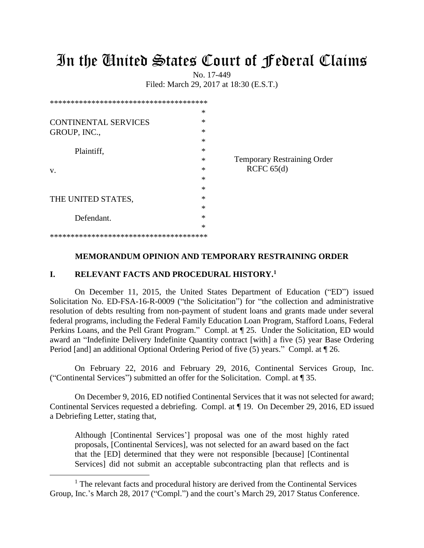# In the United States Court of Federal Claims

No. 17-449 Filed: March 29, 2017 at 18:30 (E.S.T.)

|                             | $\ast$ |                                    |
|-----------------------------|--------|------------------------------------|
| <b>CONTINENTAL SERVICES</b> | $\ast$ |                                    |
| GROUP, INC.,                | $\ast$ |                                    |
|                             | $\ast$ |                                    |
| Plaintiff,                  | $\ast$ |                                    |
|                             | $\ast$ | <b>Temporary Restraining Order</b> |
| V.                          | $\ast$ | RCFC $65(d)$                       |
|                             | $\ast$ |                                    |
|                             | $\ast$ |                                    |
| THE UNITED STATES,          | $\ast$ |                                    |
|                             | $\ast$ |                                    |
| Defendant.                  | $\ast$ |                                    |
|                             | $\ast$ |                                    |
|                             |        |                                    |

### **MEMORANDUM OPINION AND TEMPORARY RESTRAINING ORDER**

#### **I. RELEVANT FACTS AND PROCEDURAL HISTORY.<sup>1</sup>**

 $\overline{a}$ 

On December 11, 2015, the United States Department of Education ("ED") issued Solicitation No. ED-FSA-16-R-0009 ("the Solicitation") for "the collection and administrative resolution of debts resulting from non-payment of student loans and grants made under several federal programs, including the Federal Family Education Loan Program, Stafford Loans, Federal Perkins Loans, and the Pell Grant Program." Compl. at ¶ 25. Under the Solicitation, ED would award an "Indefinite Delivery Indefinite Quantity contract [with] a five (5) year Base Ordering Period [and] an additional Optional Ordering Period of five (5) years." Compl. at ¶ 26.

On February 22, 2016 and February 29, 2016, Continental Services Group, Inc. ("Continental Services") submitted an offer for the Solicitation. Compl. at ¶ 35.

On December 9, 2016, ED notified Continental Services that it was not selected for award; Continental Services requested a debriefing. Compl. at ¶ 19. On December 29, 2016, ED issued a Debriefing Letter, stating that,

Although [Continental Services'] proposal was one of the most highly rated proposals, [Continental Services], was not selected for an award based on the fact that the [ED] determined that they were not responsible [because] [Continental Services] did not submit an acceptable subcontracting plan that reflects and is

<sup>&</sup>lt;sup>1</sup> The relevant facts and procedural history are derived from the Continental Services Group, Inc.'s March 28, 2017 ("Compl.") and the court's March 29, 2017 Status Conference.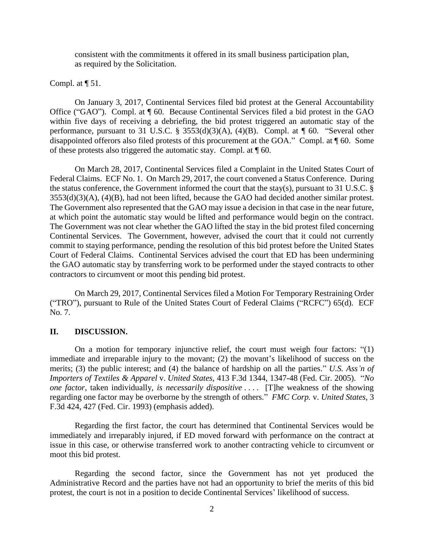consistent with the commitments it offered in its small business participation plan, as required by the Solicitation.

Compl. at  $\P$  51.

On January 3, 2017, Continental Services filed bid protest at the General Accountability Office ("GAO"). Compl. at ¶ 60. Because Continental Services filed a bid protest in the GAO within five days of receiving a debriefing, the bid protest triggered an automatic stay of the performance, pursuant to 31 U.S.C. § 3553(d)(3)(A), (4)(B). Compl. at  $\P$  60. "Several other disappointed offerors also filed protests of this procurement at the GOA." Compl. at ¶ 60. Some of these protests also triggered the automatic stay. Compl. at ¶ 60.

On March 28, 2017, Continental Services filed a Complaint in the United States Court of Federal Claims. ECF No. 1. On March 29, 2017, the court convened a Status Conference. During the status conference, the Government informed the court that the stay(s), pursuant to 31 U.S.C. § 3553(d)(3)(A), (4)(B), had not been lifted, because the GAO had decided another similar protest. The Government also represented that the GAO may issue a decision in that case in the near future, at which point the automatic stay would be lifted and performance would begin on the contract. The Government was not clear whether the GAO lifted the stay in the bid protest filed concerning Continental Services. The Government, however, advised the court that it could not currently commit to staying performance, pending the resolution of this bid protest before the United States Court of Federal Claims. Continental Services advised the court that ED has been undermining the GAO automatic stay by transferring work to be performed under the stayed contracts to other contractors to circumvent or moot this pending bid protest.

On March 29, 2017, Continental Services filed a Motion For Temporary Restraining Order ("TRO"), pursuant to Rule of the United States Court of Federal Claims ("RCFC") 65(d). ECF No. 7.

## **II. DISCUSSION.**

On a motion for temporary injunctive relief, the court must weigh four factors: "(1) immediate and irreparable injury to the movant; (2) the movant's likelihood of success on the merits; (3) the public interest; and (4) the balance of hardship on all the parties." *U.S. Ass'n of Importers of Textiles & Apparel* v. *United States,* 413 F.3d 1344, 1347-48 (Fed. Cir. 2005). "*No one factor*, taken individually, *is necessarily dispositive* .... [T]he weakness of the showing regarding one factor may be overborne by the strength of others." *FMC Corp.* v. *United States*, 3 F.3d 424, 427 (Fed. Cir. 1993) (emphasis added).

Regarding the first factor, the court has determined that Continental Services would be immediately and irreparably injured, if ED moved forward with performance on the contract at issue in this case, or otherwise transferred work to another contracting vehicle to circumvent or moot this bid protest.

Regarding the second factor, since the Government has not yet produced the Administrative Record and the parties have not had an opportunity to brief the merits of this bid protest, the court is not in a position to decide Continental Services' likelihood of success.